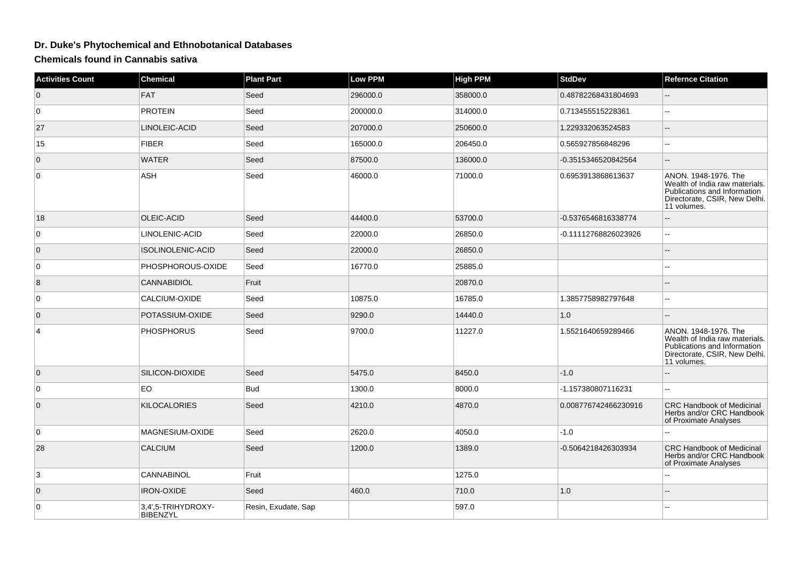## **Dr. Duke's Phytochemical and Ethnobotanical Databases**

**Chemicals found in Cannabis sativa**

| <b>Activities Count</b> | <b>Chemical</b>                       | <b>Plant Part</b>   | <b>Low PPM</b> | <b>High PPM</b> | <b>StdDev</b>        | <b>Refernce Citation</b>                                                                                                               |
|-------------------------|---------------------------------------|---------------------|----------------|-----------------|----------------------|----------------------------------------------------------------------------------------------------------------------------------------|
| $\overline{0}$          | FAT                                   | Seed                | 296000.0       | 358000.0        | 0.48782268431804693  |                                                                                                                                        |
| 0                       | <b>PROTEIN</b>                        | Seed                | 200000.0       | 314000.0        | 0.713455515228361    | $\overline{a}$                                                                                                                         |
| 27                      | LINOLEIC-ACID                         | Seed                | 207000.0       | 250600.0        | 1.229332063524583    |                                                                                                                                        |
| 15                      | <b>FIBER</b>                          | Seed                | 165000.0       | 206450.0        | 0.565927856848296    | ۵.                                                                                                                                     |
| $\overline{0}$          | <b>WATER</b>                          | Seed                | 87500.0        | 136000.0        | -0.3515346520842564  |                                                                                                                                        |
| $\overline{0}$          | ASH                                   | Seed                | 46000.0        | 71000.0         | 0.6953913868613637   | ANON. 1948-1976. The<br>Wealth of India raw materials.<br>Publications and Information<br>Directorate, CSIR, New Delhi.<br>11 volumes. |
| 18                      | OLEIC-ACID                            | Seed                | 44400.0        | 53700.0         | -0.5376546816338774  | --                                                                                                                                     |
| $\overline{0}$          | LINOLENIC-ACID                        | Seed                | 22000.0        | 26850.0         | -0.11112768826023926 |                                                                                                                                        |
| $\overline{0}$          | ISOLINOLENIC-ACID                     | Seed                | 22000.0        | 26850.0         |                      |                                                                                                                                        |
| 0                       | PHOSPHOROUS-OXIDE                     | Seed                | 16770.0        | 25885.0         |                      |                                                                                                                                        |
| 8                       | <b>CANNABIDIOL</b>                    | Fruit               |                | 20870.0         |                      |                                                                                                                                        |
| $\overline{0}$          | CALCIUM-OXIDE                         | Seed                | 10875.0        | 16785.0         | 1.3857758982797648   | $\overline{a}$                                                                                                                         |
| $\overline{0}$          | POTASSIUM-OXIDE                       | Seed                | 9290.0         | 14440.0         | 1.0                  | --                                                                                                                                     |
| $\overline{4}$          | <b>PHOSPHORUS</b>                     | Seed                | 9700.0         | 11227.0         | 1.5521640659289466   | ANON. 1948-1976. The<br>Wealth of India raw materials.<br>Publications and Information<br>Directorate, CSIR, New Delhi.<br>11 volumes. |
| $\overline{0}$          | SILICON-DIOXIDE                       | Seed                | 5475.0         | 8450.0          | $-1.0$               |                                                                                                                                        |
| $\overline{0}$          | EO.                                   | <b>Bud</b>          | 1300.0         | 8000.0          | -1.157380807116231   |                                                                                                                                        |
| $\overline{0}$          | <b>KILOCALORIES</b>                   | Seed                | 4210.0         | 4870.0          | 0.008776742466230916 | <b>CRC Handbook of Medicinal</b><br>Herbs and/or CRC Handbook<br>of Proximate Analyses                                                 |
| $\overline{0}$          | MAGNESIUM-OXIDE                       | Seed                | 2620.0         | 4050.0          | $-1.0$               |                                                                                                                                        |
| 28                      | <b>CALCIUM</b>                        | Seed                | 1200.0         | 1389.0          | -0.5064218426303934  | <b>CRC Handbook of Medicinal</b><br>Herbs and/or CRC Handbook<br>of Proximate Analyses                                                 |
| 3                       | <b>CANNABINOL</b>                     | Fruit               |                | 1275.0          |                      |                                                                                                                                        |
| $\overline{0}$          | <b>IRON-OXIDE</b>                     | Seed                | 460.0          | 710.0           | 1.0                  |                                                                                                                                        |
| 0                       | 3,4',5-TRIHYDROXY-<br><b>BIBENZYL</b> | Resin, Exudate, Sap |                | 597.0           |                      |                                                                                                                                        |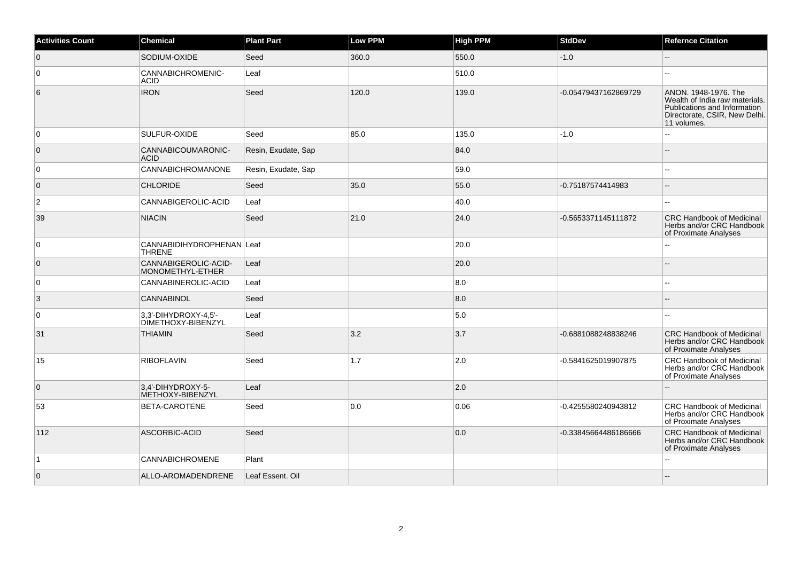| <b>Activities Count</b> | Chemical                                   | <b>Plant Part</b>   | <b>Low PPM</b> | <b>High PPM</b> | <b>StdDev</b>        | <b>Refernce Citation</b>                                                                                                               |
|-------------------------|--------------------------------------------|---------------------|----------------|-----------------|----------------------|----------------------------------------------------------------------------------------------------------------------------------------|
| $\overline{0}$          | SODIUM-OXIDE                               | Seed                | 360.0          | 550.0           | $-1.0$               | Ξ.                                                                                                                                     |
| $\mathbf 0$             | CANNABICHROMENIC-<br><b>ACID</b>           | Leaf                |                | 510.0           |                      |                                                                                                                                        |
| 6                       | <b>IRON</b>                                | Seed                | 120.0          | 139.0           | -0.05479437162869729 | ANON. 1948-1976. The<br>Wealth of India raw materials.<br>Publications and Information<br>Directorate, CSIR, New Delhi.<br>11 volumes. |
| $\Omega$                | SULFUR-OXIDE                               | Seed                | 85.0           | 135.0           | $-1.0$               |                                                                                                                                        |
| $\overline{0}$          | CANNABICOUMARONIC-<br><b>ACID</b>          | Resin, Exudate, Sap |                | 84.0            |                      |                                                                                                                                        |
| $\mathbf 0$             | CANNABICHROMANONE                          | Resin, Exudate, Sap |                | 59.0            |                      | $\overline{a}$                                                                                                                         |
| $\overline{0}$          | <b>CHLORIDE</b>                            | Seed                | 35.0           | 55.0            | -0.75187574414983    | ۵.                                                                                                                                     |
| 2                       | CANNABIGEROLIC-ACID                        | Leaf                |                | 40.0            |                      |                                                                                                                                        |
| 39                      | <b>NIACIN</b>                              | Seed                | $21.0$         | 24.0            | -0.5653371145111872  | <b>CRC Handbook of Medicinal</b><br>Herbs and/or CRC Handbook<br>of Proximate Analyses                                                 |
| 0                       | CANNABIDIHYDROPHENAN Leaf<br>THRENE        |                     |                | 20.0            |                      | ۵۵                                                                                                                                     |
| $\overline{0}$          | CANNABIGEROLIC-ACID-<br>MONOMETHYL-ETHER   | Leaf                |                | 20.0            |                      |                                                                                                                                        |
| 0                       | CANNABINEROLIC-ACID                        | Leaf                |                | 8.0             |                      |                                                                                                                                        |
| 3                       | <b>CANNABINOL</b>                          | Seed                |                | 8.0             |                      |                                                                                                                                        |
| 0                       | 3,3'-DIHYDROXY-4,5'-<br>DIMETHOXY-BIBENZYL | Leaf                |                | 5.0             |                      |                                                                                                                                        |
| 31                      | <b>THIAMIN</b>                             | Seed                | 3.2            | 3.7             | -0.6881088248838246  | <b>CRC Handbook of Medicinal</b><br>Herbs and/or CRC Handbook<br>of Proximate Analyses                                                 |
| 15                      | <b>RIBOFLAVIN</b>                          | Seed                | 1.7            | 2.0             | -0.5841625019907875  | CRC Handbook of Medicinal<br>Herbs and/or CRC Handbook<br>of Proximate Analyses                                                        |
| $\overline{0}$          | 3,4'-DIHYDROXY-5-<br>METHOXY-BIBENZYL      | Leaf                |                | 2.0             |                      |                                                                                                                                        |
| 53                      | <b>BETA-CAROTENE</b>                       | Seed                | 0.0            | 0.06            | -0.4255580240943812  | <b>CRC Handbook of Medicinal</b><br>Herbs and/or CRC Handbook<br>of Proximate Analyses                                                 |
| 112                     | ASCORBIC-ACID                              | Seed                |                | 0.0             | -0.33845664486186666 | <b>CRC Handbook of Medicinal</b><br>Herbs and/or CRC Handbook<br>of Proximate Analyses                                                 |
| $\vert$ 1               | <b>CANNABICHROMENE</b>                     | Plant               |                |                 |                      |                                                                                                                                        |
| $\overline{0}$          | ALLO-AROMADENDRENE                         | Leaf Essent. Oil    |                |                 |                      |                                                                                                                                        |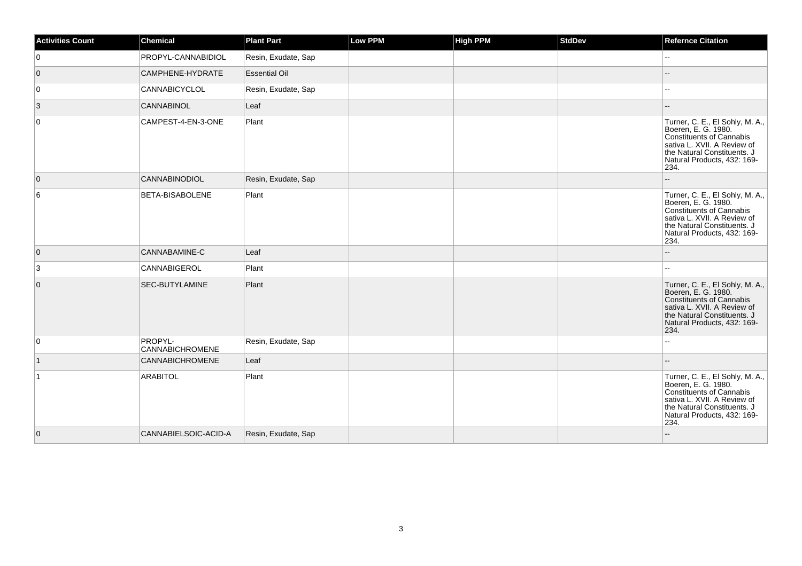| <b>Activities Count</b> | <b>Chemical</b>            | <b>Plant Part</b>    | <b>Low PPM</b> | <b>High PPM</b> | <b>StdDev</b> | <b>Refernce Citation</b>                                                                                                                                                                |
|-------------------------|----------------------------|----------------------|----------------|-----------------|---------------|-----------------------------------------------------------------------------------------------------------------------------------------------------------------------------------------|
| $\mathbf 0$             | PROPYL-CANNABIDIOL         | Resin, Exudate, Sap  |                |                 |               |                                                                                                                                                                                         |
| $\overline{0}$          | CAMPHENE-HYDRATE           | <b>Essential Oil</b> |                |                 |               |                                                                                                                                                                                         |
| $\overline{0}$          | <b>CANNABICYCLOL</b>       | Resin, Exudate, Sap  |                |                 |               |                                                                                                                                                                                         |
| 3                       | CANNABINOL                 | Leaf                 |                |                 |               |                                                                                                                                                                                         |
| $\mathbf 0$             | CAMPEST-4-EN-3-ONE         | Plant                |                |                 |               | Turner, C. E., El Sohly, M. A.,<br>Boeren, E. G. 1980.<br>Constituents of Cannabis<br>sativa L. XVII. A Review of<br>the Natural Constituents. J<br>Natural Products, 432: 169-<br>234. |
| 0                       | CANNABINODIOL              | Resin, Exudate, Sap  |                |                 |               |                                                                                                                                                                                         |
| 6                       | BETA-BISABOLENE            | Plant                |                |                 |               | Turner, C. E., El Sohly, M. A.,<br>Boeren, E. G. 1980.<br>Constituents of Cannabis<br>sativa L. XVII. A Review of<br>the Natural Constituents. J<br>Natural Products, 432: 169-<br>234. |
| $\overline{0}$          | CANNABAMINE-C              | Leaf                 |                |                 |               | --                                                                                                                                                                                      |
| 3                       | CANNABIGEROL               | Plant                |                |                 |               | ۵.                                                                                                                                                                                      |
| 0                       | SEC-BUTYLAMINE             | Plant                |                |                 |               | Turner, C. E., El Sohly, M. A.,<br>Boeren, E. G. 1980.<br>Constituents of Cannabis<br>sativa L. XVII. A Review of<br>the Natural Constituents. J<br>Natural Products, 432: 169-<br>234. |
| 0                       | PROPYL-<br>CANNABICHROMENE | Resin, Exudate, Sap  |                |                 |               | ц,                                                                                                                                                                                      |
| $\mathbf{1}$            | CANNABICHROMENE            | Leaf                 |                |                 |               | --                                                                                                                                                                                      |
| $\overline{1}$          | <b>ARABITOL</b>            | Plant                |                |                 |               | Turner, C. E., El Sohly, M. A.,<br>Boeren, E. G. 1980.<br>Constituents of Cannabis<br>sativa L. XVII. A Review of<br>the Natural Constituents. J<br>Natural Products, 432: 169-<br>234. |
| $\overline{0}$          | CANNABIELSOIC-ACID-A       | Resin, Exudate, Sap  |                |                 |               |                                                                                                                                                                                         |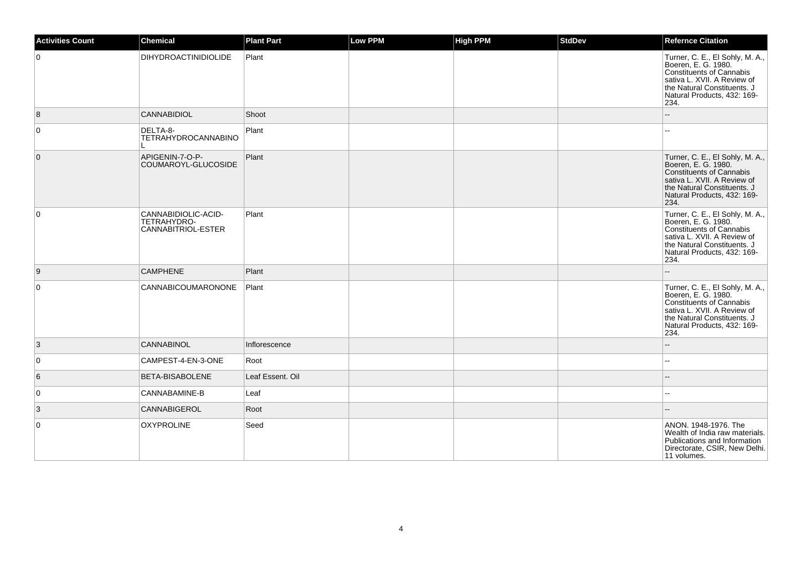| <b>Activities Count</b> | <b>Chemical</b>                                          | <b>Plant Part</b> | <b>Low PPM</b> | <b>High PPM</b> | <b>StdDev</b> | <b>Refernce Citation</b>                                                                                                                                                                       |
|-------------------------|----------------------------------------------------------|-------------------|----------------|-----------------|---------------|------------------------------------------------------------------------------------------------------------------------------------------------------------------------------------------------|
| $\overline{0}$          | <b>DIHYDROACTINIDIOLIDE</b>                              | Plant             |                |                 |               | Turner, C. E., El Sohly, M. A.,<br>Boeren, E. G. 1980.<br><b>Constituents of Cannabis</b><br>sativa L. XVII. A Review of<br>the Natural Constituents. J<br>Natural Products, 432: 169-<br>234. |
| 8                       | <b>CANNABIDIOL</b>                                       | Shoot             |                |                 |               |                                                                                                                                                                                                |
| $\overline{0}$          | DELTA-8-<br><b>TETRAHYDROCANNABINO</b>                   | Plant             |                |                 |               |                                                                                                                                                                                                |
| $\overline{0}$          | APIGENIN-7-O-P-<br>COUMAROYL-GLUCOSIDE                   | Plant             |                |                 |               | Turner, C. E., El Sohly, M. A.,<br>Boeren, E. G. 1980.<br><b>Constituents of Cannabis</b><br>sativa L. XVII. A Review of<br>the Natural Constituents. J<br>Natural Products, 432: 169-<br>234. |
| $\overline{0}$          | CANNABIDIOLIC-ACID-<br>TETRAHYDRO-<br>CANNABITRIOL-ESTER | Plant             |                |                 |               | Turner, C. E., El Sohly, M. A.,<br>Boeren, E. G. 1980.<br><b>Constituents of Cannabis</b><br>sativa L. XVII. A Review of<br>the Natural Constituents. J<br>Natural Products, 432: 169-<br>234. |
| 9                       | <b>CAMPHENE</b>                                          | Plant             |                |                 |               |                                                                                                                                                                                                |
| $\overline{0}$          | <b>CANNABICOUMARONONE</b>                                | Plant             |                |                 |               | Turner, C. E., El Sohly, M. A.,<br>Boeren, E. G. 1980.<br><b>Constituents of Cannabis</b><br>sativa L. XVII. A Review of<br>the Natural Constituents. J<br>Natural Products, 432: 169-<br>234. |
| 3                       | <b>CANNABINOL</b>                                        | Inflorescence     |                |                 |               |                                                                                                                                                                                                |
| 0                       | CAMPEST-4-EN-3-ONE                                       | Root              |                |                 |               | $-$                                                                                                                                                                                            |
| 6                       | <b>BETA-BISABOLENE</b>                                   | Leaf Essent. Oil  |                |                 |               |                                                                                                                                                                                                |
| $\overline{0}$          | CANNABAMINE-B                                            | Leaf              |                |                 |               |                                                                                                                                                                                                |
| 3                       | CANNABIGEROL                                             | Root              |                |                 |               |                                                                                                                                                                                                |
| $\overline{0}$          | <b>OXYPROLINE</b>                                        | Seed              |                |                 |               | ANON. 1948-1976. The<br>Wealth of India raw materials.<br>Publications and Information<br>Directorate, CSIR, New Delhi.<br>11 volumes.                                                         |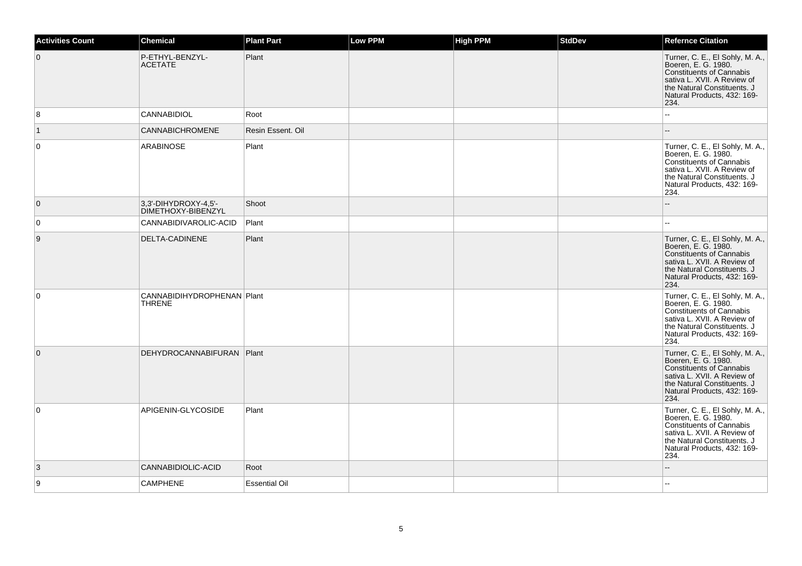| <b>Activities Count</b> | <b>Chemical</b>                               | <b>Plant Part</b>    | <b>Low PPM</b> | <b>High PPM</b> | <b>StdDev</b> | <b>Refernce Citation</b>                                                                                                                                                                       |
|-------------------------|-----------------------------------------------|----------------------|----------------|-----------------|---------------|------------------------------------------------------------------------------------------------------------------------------------------------------------------------------------------------|
| $\overline{0}$          | P-ETHYL-BENZYL-<br><b>ACETATE</b>             | Plant                |                |                 |               | Turner, C. E., El Sohly, M. A.,<br>Boeren, E. G. 1980.<br><b>Constituents of Cannabis</b><br>sativa L. XVII. A Review of<br>the Natural Constituents. J<br>Natural Products, 432: 169-<br>234. |
| 8                       | <b>CANNABIDIOL</b>                            | Root                 |                |                 |               |                                                                                                                                                                                                |
| $\vert$ 1               | CANNABICHROMENE                               | Resin Essent, Oil    |                |                 |               |                                                                                                                                                                                                |
| $\overline{0}$          | ARABINOSE                                     | Plant                |                |                 |               | Turner, C. E., El Sohly, M. A.,<br>Boeren, E. G. 1980.<br><b>Constituents of Cannabis</b><br>sativa L. XVII. A Review of<br>the Natural Constituents. J<br>Natural Products, 432: 169-<br>234. |
| $\overline{0}$          | 3.3'-DIHYDROXY-4.5'-<br>DIMETHOXY-BIBENZYL    | Shoot                |                |                 |               |                                                                                                                                                                                                |
| $\overline{0}$          | CANNABIDIVAROLIC-ACID                         | Plant                |                |                 |               |                                                                                                                                                                                                |
| 9                       | DELTA-CADINENE                                | Plant                |                |                 |               | Turner, C. E., El Sohly, M. A.,<br>Boeren, E. G. 1980.<br><b>Constituents of Cannabis</b><br>sativa L. XVII. A Review of<br>the Natural Constituents. J<br>Natural Products, 432: 169-<br>234. |
| $\overline{0}$          | CANNABIDIHYDROPHENAN   Plant<br><b>THRENE</b> |                      |                |                 |               | Turner, C. E., El Sohly, M. A.,<br>Boeren, E. G. 1980.<br><b>Constituents of Cannabis</b><br>sativa L. XVII. A Review of<br>the Natural Constituents. J<br>Natural Products, 432: 169-<br>234. |
| $\overline{0}$          | DEHYDROCANNABIFURAN   Plant                   |                      |                |                 |               | Turner, C. E., El Sohly, M. A.,<br>Boeren, E. G. 1980.<br><b>Constituents of Cannabis</b><br>sativa L. XVII. A Review of<br>the Natural Constituents. J<br>Natural Products, 432: 169-<br>234. |
| $\overline{0}$          | APIGENIN-GLYCOSIDE                            | Plant                |                |                 |               | Turner, C. E., El Sohly, M. A.,<br>Boeren, E. G. 1980.<br><b>Constituents of Cannabis</b><br>sativa L. XVII. A Review of<br>the Natural Constituents. J<br>Natural Products, 432: 169-<br>234. |
| 3                       | CANNABIDIOLIC-ACID                            | Root                 |                |                 |               |                                                                                                                                                                                                |
| 9                       | <b>CAMPHENE</b>                               | <b>Essential Oil</b> |                |                 |               |                                                                                                                                                                                                |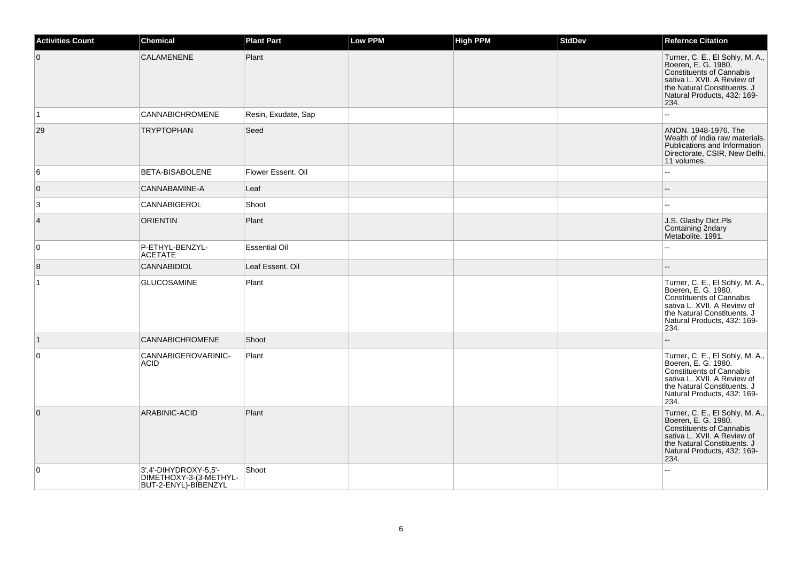| <b>Activities Count</b> | Chemical                                                                | <b>Plant Part</b>    | <b>Low PPM</b> | <b>High PPM</b> | <b>StdDev</b> | <b>Refernce Citation</b>                                                                                                                                                                       |
|-------------------------|-------------------------------------------------------------------------|----------------------|----------------|-----------------|---------------|------------------------------------------------------------------------------------------------------------------------------------------------------------------------------------------------|
| $\overline{0}$          | CALAMENENE                                                              | Plant                |                |                 |               | Turner, C. E., El Sohly, M. A.,<br>Boeren, E. G. 1980.<br>Constituents of Cannabis<br>sativa L. XVII. A Review of<br>the Natural Constituents. J<br>Natural Products, 432: 169-<br>234.        |
| $\vert$ 1               | <b>CANNABICHROMENE</b>                                                  | Resin, Exudate, Sap  |                |                 |               | L.                                                                                                                                                                                             |
| 29                      | <b>TRYPTOPHAN</b>                                                       | Seed                 |                |                 |               | ANON. 1948-1976. The<br>Wealth of India raw materials.<br>Publications and Information<br>Directorate, CSIR, New Delhi.<br>11 volumes.                                                         |
| 6                       | BETA-BISABOLENE                                                         | Flower Essent. Oil   |                |                 |               | шш.                                                                                                                                                                                            |
| $\overline{0}$          | CANNABAMINE-A                                                           | Leaf                 |                |                 |               |                                                                                                                                                                                                |
| 3                       | CANNABIGEROL                                                            | Shoot                |                |                 |               | $\sim$                                                                                                                                                                                         |
| 4                       | <b>ORIENTIN</b>                                                         | Plant                |                |                 |               | J.S. Glasby Dict.Pls<br>Containing 2ndary<br>Metabolite. 1991.                                                                                                                                 |
| 0                       | P-ETHYL-BENZYL-<br><b>ACETATE</b>                                       | <b>Essential Oil</b> |                |                 |               | Ξ.                                                                                                                                                                                             |
| 8                       | <b>CANNABIDIOL</b>                                                      | Leaf Essent. Oil     |                |                 |               |                                                                                                                                                                                                |
| $\vert$ 1               | <b>GLUCOSAMINE</b>                                                      | Plant                |                |                 |               | Turner, C. E., El Sohly, M. A.,<br>Boeren, E. G. 1980.<br><b>Constituents of Cannabis</b><br>sativa L. XVII. A Review of<br>the Natural Constituents. J<br>Natural Products, 432: 169-<br>234. |
| $\vert$ 1               | <b>CANNABICHROMENE</b>                                                  | Shoot                |                |                 |               | Ξ.                                                                                                                                                                                             |
| $\mathbf 0$             | CANNABIGEROVARINIC-<br><b>ACID</b>                                      | Plant                |                |                 |               | Turner, C. E., El Sohly, M. A.,<br>Boeren, E. G. 1980.<br><b>Constituents of Cannabis</b><br>sativa L. XVII. A Review of<br>the Natural Constituents. J<br>Natural Products, 432: 169-<br>234. |
| $\mathbf{0}$            | ARABINIC-ACID                                                           | Plant                |                |                 |               | Turner, C. E., El Sohly, M. A.,<br>Boeren, E. G. 1980.<br><b>Constituents of Cannabis</b><br>sativa L. XVII. A Review of<br>the Natural Constituents. J<br>Natural Products, 432: 169-<br>234. |
| $\mathbf 0$             | 3',4'-DIHYDROXY-5,5'-<br>DIMETHOXY-3-(3-METHYL-<br>BUT-2-ENYL)-BIBENZYL | Shoot                |                |                 |               |                                                                                                                                                                                                |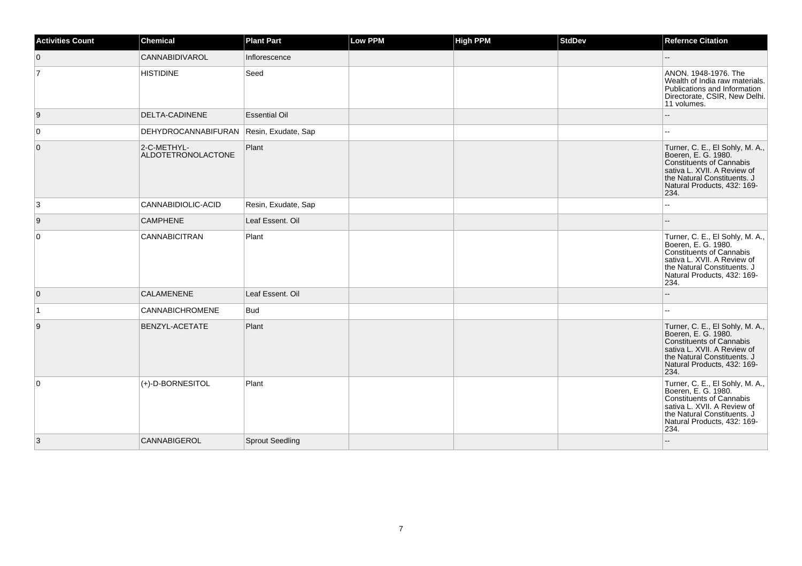| <b>Activities Count</b> | <b>Chemical</b>                   | <b>Plant Part</b>      | Low PPM | <b>High PPM</b> | <b>StdDev</b> | <b>Refernce Citation</b>                                                                                                                                                                       |
|-------------------------|-----------------------------------|------------------------|---------|-----------------|---------------|------------------------------------------------------------------------------------------------------------------------------------------------------------------------------------------------|
| $\overline{0}$          | <b>CANNABIDIVAROL</b>             | Inflorescence          |         |                 |               |                                                                                                                                                                                                |
| $\overline{7}$          | <b>HISTIDINE</b>                  | Seed                   |         |                 |               | ANON. 1948-1976. The<br>Wealth of India raw materials.<br>Publications and Information<br>Directorate, CSIR, New Delhi.<br>11 volumes.                                                         |
| 9                       | <b>DELTA-CADINENE</b>             | <b>Essential Oil</b>   |         |                 |               |                                                                                                                                                                                                |
| $\overline{0}$          | DEHYDROCANNABIFURAN               | Resin, Exudate, Sap    |         |                 |               |                                                                                                                                                                                                |
| $\overline{0}$          | 2-C-METHYL-<br>ALDOTETRONOLACTONE | Plant                  |         |                 |               | Turner, C. E., El Sohly, M. A.,<br>Boeren, E. G. 1980.<br>Constituents of Cannabis<br>sativa L. XVII. A Review of<br>the Natural Constituents. J<br>Natural Products, 432: 169-<br>234.        |
| 3                       | CANNABIDIOLIC-ACID                | Resin, Exudate, Sap    |         |                 |               |                                                                                                                                                                                                |
| 9                       | <b>CAMPHENE</b>                   | Leaf Essent. Oil       |         |                 |               |                                                                                                                                                                                                |
| $\overline{0}$          | <b>CANNABICITRAN</b>              | Plant                  |         |                 |               | Turner, C. E., El Sohly, M. A.,<br>Boeren, E. G. 1980.<br>Constituents of Cannabis<br>sativa L. XVII. A Review of<br>the Natural Constituents. J<br>Natural Products, 432: 169-<br>234.        |
| $\overline{0}$          | <b>CALAMENENE</b>                 | Leaf Essent. Oil       |         |                 |               |                                                                                                                                                                                                |
| $\vert$ 1               | <b>CANNABICHROMENE</b>            | <b>Bud</b>             |         |                 |               |                                                                                                                                                                                                |
| 9                       | <b>BENZYL-ACETATE</b>             | Plant                  |         |                 |               | Turner, C. E., El Sohly, M. A.,<br>Boeren, E. G. 1980.<br>Constituents of Cannabis<br>sativa L. XVII. A Review of<br>the Natural Constituents. J<br>Natural Products, 432: 169-<br>234.        |
| $\overline{0}$          | (+)-D-BORNESITOL                  | Plant                  |         |                 |               | Turner, C. E., El Sohly, M. A.,<br>Boeren, E. G. 1980.<br><b>Constituents of Cannabis</b><br>sativa L. XVII. A Review of<br>the Natural Constituents. J<br>Natural Products, 432: 169-<br>234. |
| 3                       | <b>CANNABIGEROL</b>               | <b>Sprout Seedling</b> |         |                 |               |                                                                                                                                                                                                |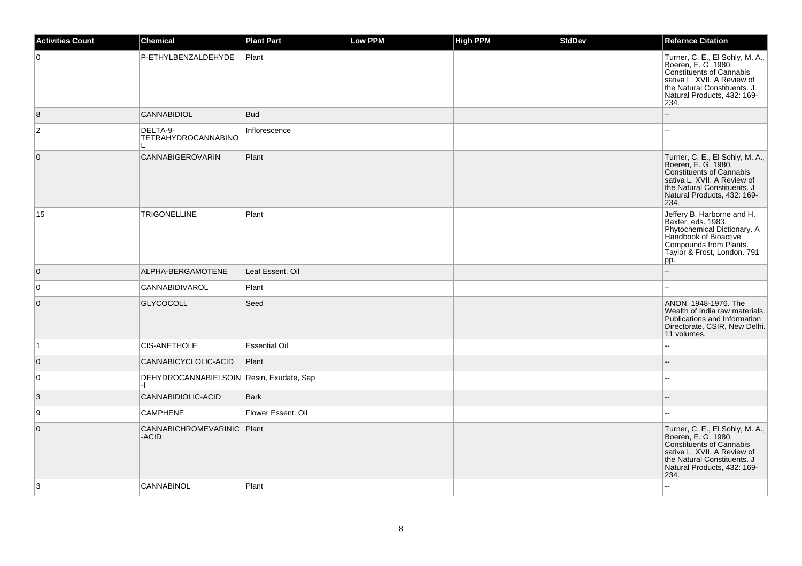| <b>Activities Count</b> | <b>Chemical</b>                                  | <b>Plant Part</b>    | <b>Low PPM</b> | <b>High PPM</b> | <b>StdDev</b> | <b>Refernce Citation</b>                                                                                                                                                                       |
|-------------------------|--------------------------------------------------|----------------------|----------------|-----------------|---------------|------------------------------------------------------------------------------------------------------------------------------------------------------------------------------------------------|
| 0                       | P-ETHYLBENZALDEHYDE                              | Plant                |                |                 |               | Turner, C. E., El Sohly, M. A.,<br>Boeren, E. G. 1980.<br><b>Constituents of Cannabis</b><br>sativa L. XVII. A Review of<br>the Natural Constituents. J<br>Natural Products, 432: 169-<br>234. |
| 8                       | <b>CANNABIDIOL</b>                               | <b>Bud</b>           |                |                 |               | --                                                                                                                                                                                             |
| $\mathbf 2$             | DELTA-9-<br>TETRAHYDROCANNABINO                  | Inflorescence        |                |                 |               |                                                                                                                                                                                                |
| $\mathbf 0$             | <b>CANNABIGEROVARIN</b>                          | Plant                |                |                 |               | Turner, C. E., El Sohly, M. A.,<br>Boeren, E. G. 1980.<br><b>Constituents of Cannabis</b><br>sativa L. XVII. A Review of<br>the Natural Constituents. J<br>Natural Products, 432: 169-<br>234. |
| 15                      | <b>TRIGONELLINE</b>                              | Plant                |                |                 |               | Jeffery B. Harborne and H.<br>Baxter, eds. 1983.<br>Phytochemical Dictionary. A<br>Handbook of Bioactive<br>Compounds from Plants.<br>Taylor & Frost, London. 791<br>pp.                       |
| $\overline{0}$          | ALPHA-BERGAMOTENE                                | Leaf Essent. Oil     |                |                 |               | L.                                                                                                                                                                                             |
| 0                       | CANNABIDIVAROL                                   | Plant                |                |                 |               | ۵۵                                                                                                                                                                                             |
| $\overline{0}$          | <b>GLYCOCOLL</b>                                 | Seed                 |                |                 |               | ANON. 1948-1976. The<br>Wealth of India raw materials.<br>Publications and Information<br>Directorate, CSIR, New Delhi.<br>11 volumes.                                                         |
| ∣1                      | <b>CIS-ANETHOLE</b>                              | <b>Essential Oil</b> |                |                 |               | L.                                                                                                                                                                                             |
| $\overline{0}$          | CANNABICYCLOLIC-ACID                             | Plant                |                |                 |               | --                                                                                                                                                                                             |
| 0                       | DEHYDROCANNABIELSOIN Resin, Exudate, Sap<br>$-1$ |                      |                |                 |               |                                                                                                                                                                                                |
| $\vert 3 \vert$         | CANNABIDIOLIC-ACID                               | <b>Bark</b>          |                |                 |               | $-$                                                                                                                                                                                            |
| 9                       | <b>CAMPHENE</b>                                  | Flower Essent. Oil   |                |                 |               |                                                                                                                                                                                                |
| $\mathbf 0$             | CANNABICHROMEVARINIC Plant<br>-ACID              |                      |                |                 |               | Turner, C. E., El Sohly, M. A.,<br>Boeren, E. G. 1980.<br><b>Constituents of Cannabis</b><br>sativa L. XVII. A Review of<br>the Natural Constituents. J<br>Natural Products, 432: 169-<br>234. |
| 3                       | CANNABINOL                                       | Plant                |                |                 |               | 44                                                                                                                                                                                             |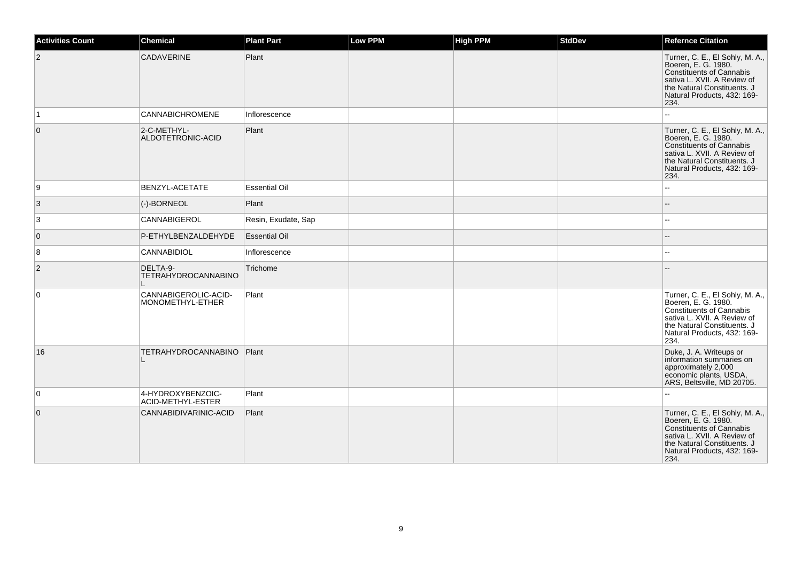| <b>Activities Count</b> | <b>Chemical</b>                          | <b>Plant Part</b>    | Low PPM | <b>High PPM</b> | <b>StdDev</b> | <b>Refernce Citation</b>                                                                                                                                                                       |
|-------------------------|------------------------------------------|----------------------|---------|-----------------|---------------|------------------------------------------------------------------------------------------------------------------------------------------------------------------------------------------------|
| 2                       | CADAVERINE                               | Plant                |         |                 |               | Turner, C. E., El Sohly, M. A.,<br>Boeren, E. G. 1980.<br><b>Constituents of Cannabis</b><br>sativa L. XVII. A Review of<br>the Natural Constituents. J<br>Natural Products, 432: 169-<br>234. |
| 1                       | <b>CANNABICHROMENE</b>                   | Inflorescence        |         |                 |               | $\overline{a}$                                                                                                                                                                                 |
| $\mathbf 0$             | 2-C-METHYL-<br>ALDOTETRONIC-ACID         | Plant                |         |                 |               | Turner, C. E., El Sohly, M. A.,<br>Boeren, E. G. 1980.<br><b>Constituents of Cannabis</b><br>sativa L. XVII. A Review of<br>the Natural Constituents, J<br>Natural Products, 432: 169-<br>234. |
| 9                       | BENZYL-ACETATE                           | <b>Essential Oil</b> |         |                 |               | $\overline{a}$                                                                                                                                                                                 |
| 3                       | (-)-BORNEOL                              | Plant                |         |                 |               |                                                                                                                                                                                                |
| 3                       | CANNABIGEROL                             | Resin, Exudate, Sap  |         |                 |               |                                                                                                                                                                                                |
| $\mathbf{0}$            | P-ETHYLBENZALDEHYDE                      | <b>Essential Oil</b> |         |                 |               |                                                                                                                                                                                                |
| 8                       | CANNABIDIOL                              | Inflorescence        |         |                 |               |                                                                                                                                                                                                |
| $\overline{a}$          | DELTA-9-<br><b>TETRAHYDROCANNABINO</b>   | Trichome             |         |                 |               |                                                                                                                                                                                                |
| $\Omega$                | CANNABIGEROLIC-ACID-<br>MONOMETHYL-ETHER | Plant                |         |                 |               | Turner, C. E., El Sohly, M. A.,<br>Boeren, E. G. 1980.<br><b>Constituents of Cannabis</b><br>sativa L. XVII. A Review of<br>the Natural Constituents. J<br>Natural Products, 432: 169-<br>234. |
| 16                      | TETRAHYDROCANNABINO Plant                |                      |         |                 |               | Duke, J. A. Writeups or<br>information summaries on<br>approximately 2,000<br>economic plants, USDA,<br>ARS, Beltsville, MD 20705.                                                             |
| $\overline{0}$          | 4-HYDROXYBENZOIC-<br>ACID-METHYL-ESTER   | Plant                |         |                 |               |                                                                                                                                                                                                |
| $\mathbf 0$             | CANNABIDIVARINIC-ACID                    | Plant                |         |                 |               | Turner, C. E., El Sohly, M. A.,<br>Boeren, E. G. 1980.<br><b>Constituents of Cannabis</b><br>sativa L. XVII. A Review of<br>the Natural Constituents. J<br>Natural Products, 432: 169-<br>234. |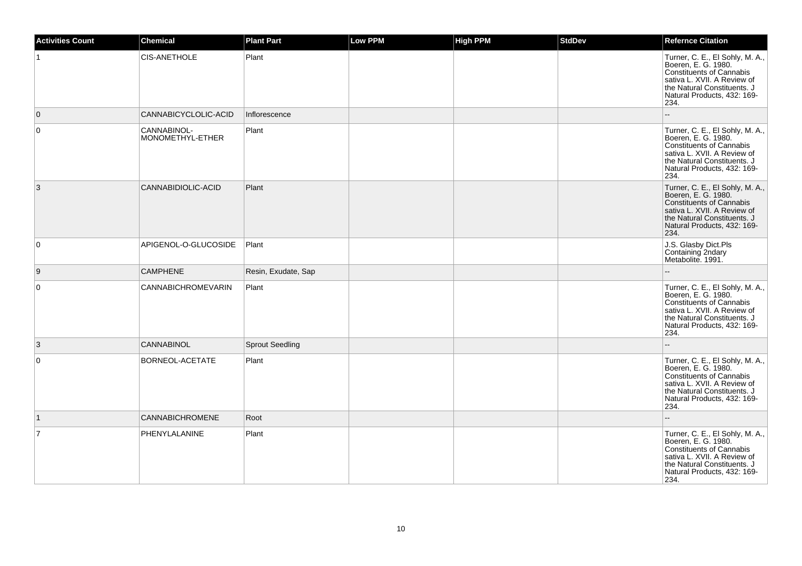| <b>Activities Count</b> | <b>Chemical</b>                 | <b>Plant Part</b>      | <b>Low PPM</b> | <b>High PPM</b> | <b>StdDev</b> | <b>Refernce Citation</b>                                                                                                                                                                       |
|-------------------------|---------------------------------|------------------------|----------------|-----------------|---------------|------------------------------------------------------------------------------------------------------------------------------------------------------------------------------------------------|
|                         | CIS-ANETHOLE                    | Plant                  |                |                 |               | Turner, C. E., El Sohly, M. A.,<br>Boeren, E. G. 1980.<br><b>Constituents of Cannabis</b><br>sativa L. XVII. A Review of<br>the Natural Constituents. J<br>Natural Products, 432: 169-<br>234. |
| $\overline{0}$          | CANNABICYCLOLIC-ACID            | Inflorescence          |                |                 |               |                                                                                                                                                                                                |
| 0                       | CANNABINOL-<br>MONOMETHYL-ETHER | Plant                  |                |                 |               | Turner, C. E., El Sohly, M. A.,<br>Boeren, E. G. 1980.<br><b>Constituents of Cannabis</b><br>sativa L. XVII. A Review of<br>the Natural Constituents. J<br>Natural Products, 432: 169-<br>234. |
| 3                       | CANNABIDIOLIC-ACID              | Plant                  |                |                 |               | Turner, C. E., El Sohly, M. A.,<br>Boeren, E. G. 1980.<br><b>Constituents of Cannabis</b><br>sativa L. XVII. A Review of<br>the Natural Constituents. J<br>Natural Products, 432: 169-<br>234. |
| 0                       | APIGENOL-O-GLUCOSIDE            | Plant                  |                |                 |               | J.S. Glasby Dict.Pls<br>Containing 2ndary<br>Metabolite. 1991.                                                                                                                                 |
| 9                       | <b>CAMPHENE</b>                 | Resin, Exudate, Sap    |                |                 |               |                                                                                                                                                                                                |
| 0                       | <b>CANNABICHROMEVARIN</b>       | Plant                  |                |                 |               | Turner, C. E., El Sohly, M. A.,<br>Boeren, E. G. 1980.<br><b>Constituents of Cannabis</b><br>sativa L. XVII. A Review of<br>the Natural Constituents. J<br>Natural Products, 432: 169-<br>234. |
| 3                       | <b>CANNABINOL</b>               | <b>Sprout Seedling</b> |                |                 |               |                                                                                                                                                                                                |
| $\mathbf 0$             | BORNEOL-ACETATE                 | Plant                  |                |                 |               | Turner, C. E., El Sohly, M. A.,<br>Boeren, E. G. 1980.<br><b>Constituents of Cannabis</b><br>sativa L. XVII. A Review of<br>the Natural Constituents. J<br>Natural Products, 432: 169-<br>234. |
| $\vert$ 1               | <b>CANNABICHROMENE</b>          | Root                   |                |                 |               |                                                                                                                                                                                                |
| $\overline{7}$          | PHENYLALANINE                   | Plant                  |                |                 |               | Turner, C. E., El Sohly, M. A.,<br>Boeren, E. G. 1980.<br><b>Constituents of Cannabis</b><br>sativa L. XVII. A Review of<br>the Natural Constituents. J<br>Natural Products, 432: 169-<br>234. |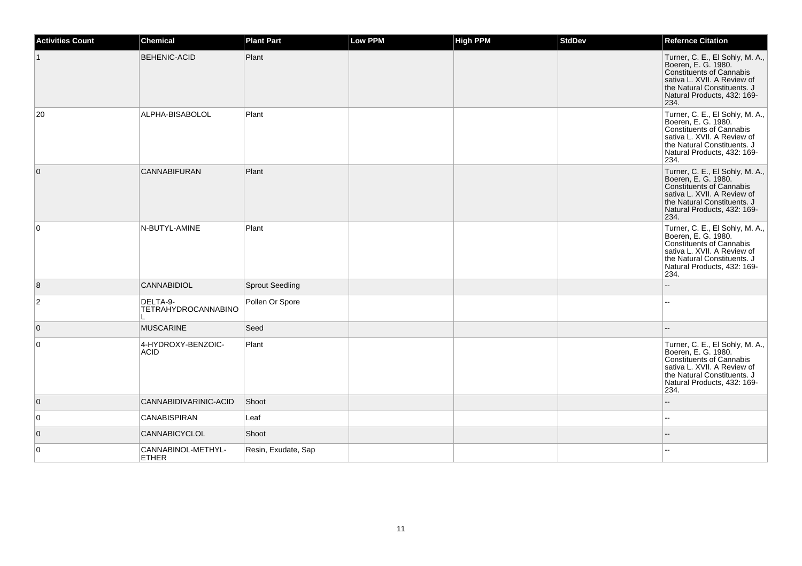| <b>Activities Count</b> | <b>Chemical</b>                        | <b>Plant Part</b>      | <b>Low PPM</b> | <b>High PPM</b> | <b>StdDev</b> | <b>Refernce Citation</b>                                                                                                                                                                       |
|-------------------------|----------------------------------------|------------------------|----------------|-----------------|---------------|------------------------------------------------------------------------------------------------------------------------------------------------------------------------------------------------|
|                         | <b>BEHENIC-ACID</b>                    | Plant                  |                |                 |               | Turner, C. E., El Sohly, M. A.,<br>Boeren, E. G. 1980.<br><b>Constituents of Cannabis</b><br>sativa L. XVII. A Review of<br>the Natural Constituents. J<br>Natural Products, 432: 169-<br>234. |
| 20                      | ALPHA-BISABOLOL                        | Plant                  |                |                 |               | Turner, C. E., El Sohly, M. A.,<br>Boeren, E. G. 1980.<br><b>Constituents of Cannabis</b><br>sativa L. XVII. A Review of<br>the Natural Constituents. J<br>Natural Products, 432: 169-<br>234. |
| $\overline{0}$          | <b>CANNABIFURAN</b>                    | Plant                  |                |                 |               | Turner, C. E., El Sohly, M. A.,<br>Boeren, E. G. 1980.<br><b>Constituents of Cannabis</b><br>sativa L. XVII. A Review of<br>the Natural Constituents. J<br>Natural Products, 432: 169-<br>234. |
| 0                       | N-BUTYL-AMINE                          | Plant                  |                |                 |               | Turner, C. E., El Sohly, M. A., Boeren, E. G. 1980.<br><b>Constituents of Cannabis</b><br>sativa L. XVII. A Review of<br>the Natural Constituents. J<br>Natural Products, 432: 169-<br>234.    |
| 8                       | <b>CANNABIDIOL</b>                     | <b>Sprout Seedling</b> |                |                 |               |                                                                                                                                                                                                |
| $\overline{2}$          | DELTA-9-<br><b>TETRAHYDROCANNABINO</b> | Pollen Or Spore        |                |                 |               |                                                                                                                                                                                                |
| $\overline{0}$          | <b>MUSCARINE</b>                       | Seed                   |                |                 |               |                                                                                                                                                                                                |
| $\pmb{0}$               | 4-HYDROXY-BENZOIC-<br><b>ACID</b>      | Plant                  |                |                 |               | Turner, C. E., El Sohly, M. A.,<br>Boeren, E. G. 1980.<br><b>Constituents of Cannabis</b><br>sativa L. XVII. A Review of<br>the Natural Constituents. J<br>Natural Products, 432: 169-<br>234. |
| $\overline{0}$          | CANNABIDIVARINIC-ACID                  | Shoot                  |                |                 |               |                                                                                                                                                                                                |
| 0                       | CANABISPIRAN                           | Leaf                   |                |                 |               | $\overline{a}$                                                                                                                                                                                 |
| $\overline{0}$          | <b>CANNABICYCLOL</b>                   | Shoot                  |                |                 |               |                                                                                                                                                                                                |
| 0                       | CANNABINOL-METHYL-<br><b>ETHER</b>     | Resin, Exudate, Sap    |                |                 |               |                                                                                                                                                                                                |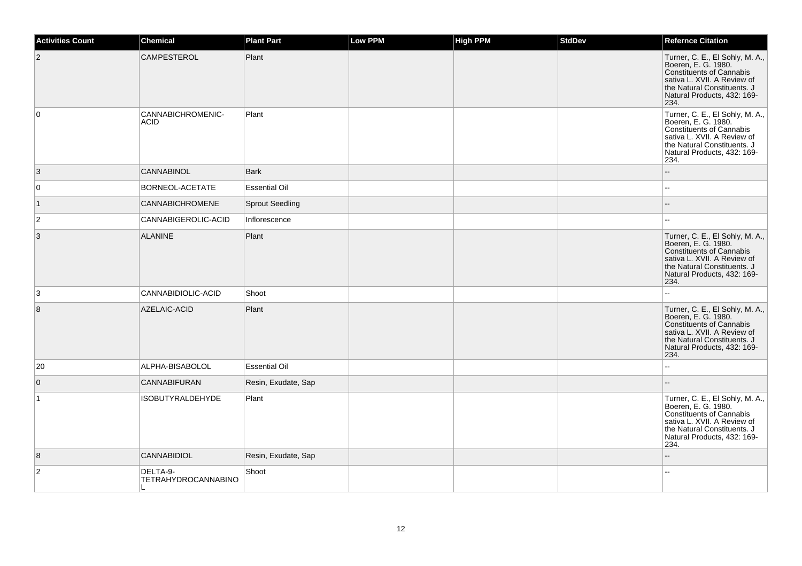| <b>Activities Count</b> | Chemical                                               | <b>Plant Part</b>      | <b>Low PPM</b> | <b>High PPM</b> | <b>StdDev</b> | <b>Refernce Citation</b>                                                                                                                                                                       |
|-------------------------|--------------------------------------------------------|------------------------|----------------|-----------------|---------------|------------------------------------------------------------------------------------------------------------------------------------------------------------------------------------------------|
| $\overline{2}$          | CAMPESTEROL                                            | Plant                  |                |                 |               | Turner, C. E., El Sohly, M. A.,<br>Boeren, E. G. 1980.<br><b>Constituents of Cannabis</b><br>sativa L. XVII. A Review of<br>the Natural Constituents. J<br>Natural Products, 432: 169-<br>234. |
| $\mathbf 0$             | CANNABICHROMENIC-<br><b>ACID</b>                       | Plant                  |                |                 |               | Turner, C. E., El Sohly, M. A.,<br>Boeren, E. G. 1980.<br><b>Constituents of Cannabis</b><br>sativa L. XVII. A Review of<br>the Natural Constituents. J<br>Natural Products, 432: 169-<br>234. |
| 3                       | <b>CANNABINOL</b>                                      | <b>Bark</b>            |                |                 |               |                                                                                                                                                                                                |
| 0                       | BORNEOL-ACETATE                                        | <b>Essential Oil</b>   |                |                 |               |                                                                                                                                                                                                |
| $\vert$ 1               | <b>CANNABICHROMENE</b>                                 | <b>Sprout Seedling</b> |                |                 |               |                                                                                                                                                                                                |
| $\overline{2}$          | CANNABIGEROLIC-ACID                                    | Inflorescence          |                |                 |               |                                                                                                                                                                                                |
| 3                       | <b>ALANINE</b>                                         | Plant                  |                |                 |               | Turner, C. E., El Sohly, M. A.,<br>Boeren, E. G. 1980.<br><b>Constituents of Cannabis</b><br>sativa L. XVII. A Review of<br>the Natural Constituents. J<br>Natural Products, 432: 169-<br>234. |
| 3                       | CANNABIDIOLIC-ACID                                     | Shoot                  |                |                 |               | $\sim$                                                                                                                                                                                         |
| 8                       | AZELAIC-ACID                                           | Plant                  |                |                 |               | Turner, C. E., El Sohly, M. A.,<br>Boeren, E. G. 1980.<br><b>Constituents of Cannabis</b><br>sativa L. XVII. A Review of<br>the Natural Constituents. J<br>Natural Products, 432: 169-<br>234. |
| 20                      | ALPHA-BISABOLOL                                        | <b>Essential Oil</b>   |                |                 |               | $\overline{a}$                                                                                                                                                                                 |
| $\overline{0}$          | <b>CANNABIFURAN</b>                                    | Resin, Exudate, Sap    |                |                 |               | $\sim$                                                                                                                                                                                         |
| $\mathbf{1}$            | <b>ISOBUTYRALDEHYDE</b>                                | Plant                  |                |                 |               | Turner, C. E., El Sohly, M. A.,<br>Boeren, E. G. 1980.<br><b>Constituents of Cannabis</b><br>sativa L. XVII. A Review of<br>the Natural Constituents. J<br>Natural Products, 432: 169-<br>234. |
| 8                       | <b>CANNABIDIOL</b>                                     | Resin, Exudate, Sap    |                |                 |               |                                                                                                                                                                                                |
| $\overline{2}$          | DELTA-9-<br><b>TETRAHYDROCANNABINO</b><br>$\mathbf{L}$ | Shoot                  |                |                 |               |                                                                                                                                                                                                |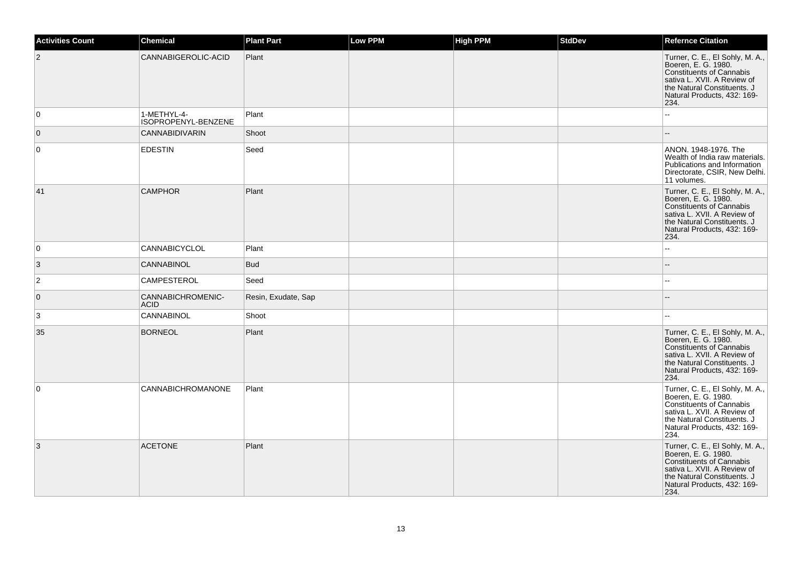| <b>Activities Count</b> | <b>Chemical</b>                    | <b>Plant Part</b>   | Low PPM | <b>High PPM</b> | <b>StdDev</b> | <b>Refernce Citation</b>                                                                                                                                                                       |
|-------------------------|------------------------------------|---------------------|---------|-----------------|---------------|------------------------------------------------------------------------------------------------------------------------------------------------------------------------------------------------|
| $\overline{2}$          | CANNABIGEROLIC-ACID                | Plant               |         |                 |               | Turner, C. E., El Sohly, M. A.,<br>Boeren, E. G. 1980.<br>Constituents of Cannabis<br>sativa L. XVII. A Review of<br>the Natural Constituents. J<br>Natural Products, 432: 169-<br>234.        |
| 0                       | 1-METHYL-4-<br>ISOPROPENYL-BENZENE | Plant               |         |                 |               | --                                                                                                                                                                                             |
| $\overline{0}$          | <b>CANNABIDIVARIN</b>              | Shoot               |         |                 |               | $\qquad \qquad -$                                                                                                                                                                              |
| $\overline{0}$          | <b>EDESTIN</b>                     | Seed                |         |                 |               | ANON. 1948-1976. The<br>Wealth of India raw materials.<br>Publications and Information<br>Directorate, CSIR, New Delhi.<br>11 volumes.                                                         |
| 41                      | <b>CAMPHOR</b>                     | Plant               |         |                 |               | Turner, C. E., El Sohly, M. A.,<br>Boeren, E. G. 1980.<br>Constituents of Cannabis<br>sativa L. XVII. A Review of<br>the Natural Constituents. J<br>Natural Products, 432: 169-<br>234.        |
| $\overline{0}$          | CANNABICYCLOL                      | Plant               |         |                 |               | Ξ.                                                                                                                                                                                             |
| $\overline{3}$          | <b>CANNABINOL</b>                  | <b>Bud</b>          |         |                 |               | --                                                                                                                                                                                             |
| $ 2\rangle$             | CAMPESTEROL                        | Seed                |         |                 |               | ۵.                                                                                                                                                                                             |
| $\overline{0}$          | CANNABICHROMENIC-<br><b>ACID</b>   | Resin, Exudate, Sap |         |                 |               | $-$                                                                                                                                                                                            |
| 3                       | CANNABINOL                         | Shoot               |         |                 |               |                                                                                                                                                                                                |
| 35                      | <b>BORNEOL</b>                     | Plant               |         |                 |               | Turner, C. E., El Sohly, M. A.,<br>Boeren, E. G. 1980.<br>Constituents of Cannabis<br>sativa L. XVII. A Review of<br>the Natural Constituents. J<br>Natural Products, 432: 169-<br>234.        |
| $\overline{0}$          | CANNABICHROMANONE                  | Plant               |         |                 |               | Turner, C. E., El Sohly, M. A.,<br>Boeren, E. G. 1980.<br>Constituents of Cannabis<br>sativa L. XVII. A Review of<br>the Natural Constituents. J<br>Natural Products, 432: 169-<br>234.        |
| 3                       | <b>ACETONE</b>                     | Plant               |         |                 |               | Turner, C. E., El Sohly, M. A.,<br>Boeren, E. G. 1980.<br><b>Constituents of Cannabis</b><br>sativa L. XVII. A Review of<br>the Natural Constituents. J<br>Natural Products, 432: 169-<br>234. |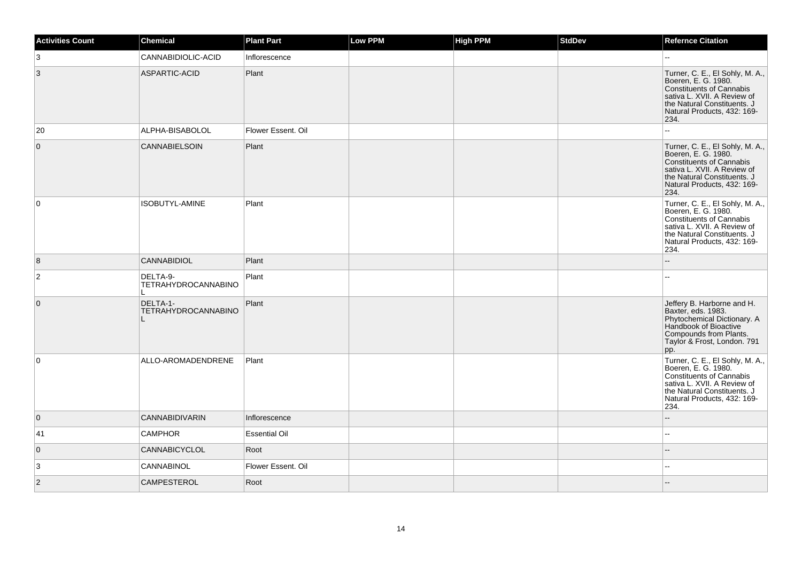| <b>Activities Count</b> | Chemical                               | <b>Plant Part</b>    | Low PPM | High PPM | <b>StdDev</b> | <b>Refernce Citation</b>                                                                                                                                                                       |
|-------------------------|----------------------------------------|----------------------|---------|----------|---------------|------------------------------------------------------------------------------------------------------------------------------------------------------------------------------------------------|
| 3                       | CANNABIDIOLIC-ACID                     | Inflorescence        |         |          |               |                                                                                                                                                                                                |
| 3                       | ASPARTIC-ACID                          | Plant                |         |          |               | Turner, C. E., El Sohly, M. A.,<br>Boeren, E. G. 1980.<br>Constituents of Cannabis<br>sativa L. XVII. A Review of<br>the Natural Constituents. J<br>Natural Products, 432: 169-<br>234.        |
| 20                      | ALPHA-BISABOLOL                        | Flower Essent, Oil   |         |          |               |                                                                                                                                                                                                |
| $\mathbf 0$             | <b>CANNABIELSOIN</b>                   | Plant                |         |          |               | Turner, C. E., El Sohly, M. A.,<br>Boeren, E. G. 1980.<br>Constituents of Cannabis<br>sativa L. XVII. A Review of<br>the Natural Constituents. J<br>Natural Products, 432: 169-<br>234.        |
| 0                       | ISOBUTYL-AMINE                         | Plant                |         |          |               | Turner, C. E., El Sohly, M. A.,<br>Boeren, E. G. 1980.<br>Constituents of Cannabis<br>sativa L. XVII. A Review of<br>the Natural Constituents. J<br>Natural Products, 432: 169-<br>234.        |
| 8                       | <b>CANNABIDIOL</b>                     | Plant                |         |          |               |                                                                                                                                                                                                |
| $\overline{\mathbf{c}}$ | DELTA-9-<br><b>TETRAHYDROCANNABINO</b> | Plant                |         |          |               |                                                                                                                                                                                                |
| $\overline{0}$          | DELTA-1-<br><b>TETRAHYDROCANNABINO</b> | Plant                |         |          |               | Jeffery B. Harborne and H.<br>Baxter, eds. 1983.<br>Phytochemical Dictionary. A<br>Handbook of Bioactive<br>Compounds from Plants.<br>Taylor & Frost, London. 791<br>pp.                       |
| $\mathbf 0$             | ALLO-AROMADENDRENE                     | Plant                |         |          |               | Turner, C. E., El Sohly, M. A.,<br>Boeren, E. G. 1980.<br><b>Constituents of Cannabis</b><br>sativa L. XVII. A Review of<br>the Natural Constituents. J<br>Natural Products, 432: 169-<br>234. |
| $\overline{0}$          | <b>CANNABIDIVARIN</b>                  | Inflorescence        |         |          |               |                                                                                                                                                                                                |
| 41                      | <b>CAMPHOR</b>                         | <b>Essential Oil</b> |         |          |               | $\overline{a}$                                                                                                                                                                                 |
| $\overline{0}$          | <b>CANNABICYCLOL</b>                   | Root                 |         |          |               |                                                                                                                                                                                                |
| 3                       | <b>CANNABINOL</b>                      | Flower Essent. Oil   |         |          |               | $\sim$                                                                                                                                                                                         |
| $\overline{2}$          | <b>CAMPESTEROL</b>                     | Root                 |         |          |               |                                                                                                                                                                                                |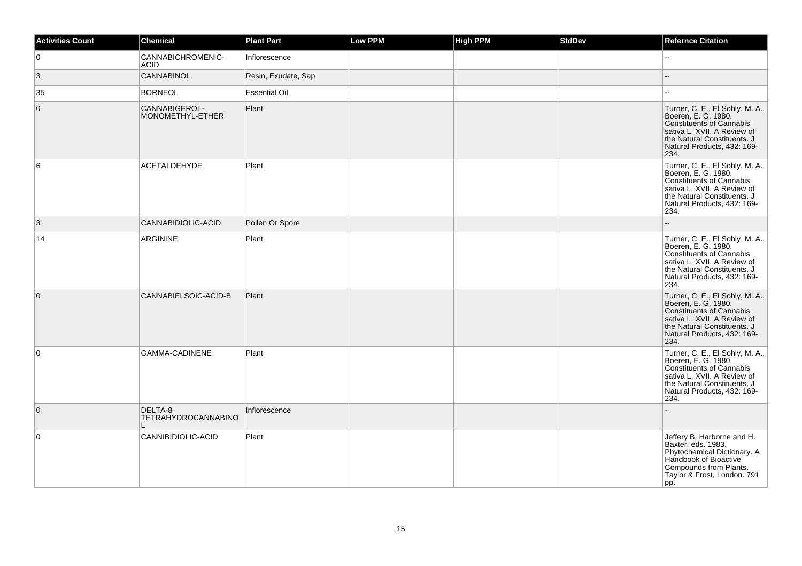| <b>Activities Count</b> | <b>Chemical</b>                   | <b>Plant Part</b>    | Low PPM | <b>High PPM</b> | <b>StdDev</b> | <b>Refernce Citation</b>                                                                                                                                                                       |
|-------------------------|-----------------------------------|----------------------|---------|-----------------|---------------|------------------------------------------------------------------------------------------------------------------------------------------------------------------------------------------------|
| $\mathbf 0$             | CANNABICHROMENIC-<br><b>ACID</b>  | Inflorescence        |         |                 |               | шш.                                                                                                                                                                                            |
| $\vert 3 \vert$         | CANNABINOL                        | Resin, Exudate, Sap  |         |                 |               |                                                                                                                                                                                                |
| 35                      | <b>BORNEOL</b>                    | <b>Essential Oil</b> |         |                 |               |                                                                                                                                                                                                |
| $\mathbf 0$             | CANNABIGEROL-<br>MONOMETHYL-ETHER | Plant                |         |                 |               | Turner, C. E., El Sohly, M. A.,<br>Boeren, E. G. 1980.<br><b>Constituents of Cannabis</b><br>sativa L. XVII. A Review of<br>the Natural Constituents. J<br>Natural Products, 432: 169-<br>234. |
| 6                       | <b>ACETALDEHYDE</b>               | Plant                |         |                 |               | Turner, C. E., El Sohly, M. A.,<br>Boeren, E. G. 1980.<br>Constituents of Cannabis<br>sativa L. XVII. A Review of<br>the Natural Constituents. J<br>Natural Products, 432: 169-<br>234.        |
| 3                       | CANNABIDIOLIC-ACID                | Pollen Or Spore      |         |                 |               | $\overline{a}$                                                                                                                                                                                 |
| 14                      | <b>ARGININE</b>                   | Plant                |         |                 |               | Turner, C. E., El Sohly, M. A.,<br>Boeren, E. G. 1980.<br>Constituents of Cannabis<br>sativa L. XVII. A Review of<br>the Natural Constituents. J<br>Natural Products, 432: 169-<br>234.        |
| $\overline{0}$          | CANNABIELSOIC-ACID-B              | Plant                |         |                 |               | Turner, C. E., El Sohly, M. A.,<br>Boeren, E. G. 1980.<br><b>Constituents of Cannabis</b><br>sativa L. XVII. A Review of<br>the Natural Constituents. J<br>Natural Products, 432: 169-<br>234. |
| 0                       | <b>GAMMA-CADINENE</b>             | Plant                |         |                 |               | Turner, C. E., El Sohly, M. A.,<br>Boeren, E. G. 1980.<br><b>Constituents of Cannabis</b><br>sativa L. XVII. A Review of<br>the Natural Constituents. J<br>Natural Products, 432: 169-<br>234. |
| $\overline{0}$          | DELTA-8-<br>TETRAHYDROCANNABINO   | Inflorescence        |         |                 |               |                                                                                                                                                                                                |
| $\mathbf 0$             | CANNIBIDIOLIC-ACID                | Plant                |         |                 |               | Jeffery B. Harborne and H.<br>Baxter, eds. 1983.<br>Phytochemical Dictionary. A<br>Handbook of Bioactive<br>Compounds from Plants.<br>Taylor & Frost, London. 791<br>pp.                       |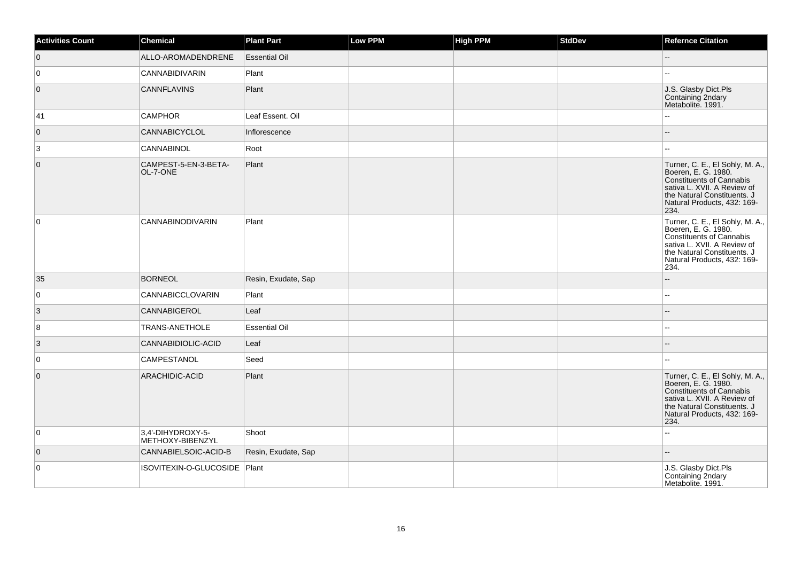| <b>Activities Count</b> | Chemical                              | <b>Plant Part</b>    | <b>Low PPM</b> | <b>High PPM</b> | <b>StdDev</b> | <b>Refernce Citation</b>                                                                                                                                                                |
|-------------------------|---------------------------------------|----------------------|----------------|-----------------|---------------|-----------------------------------------------------------------------------------------------------------------------------------------------------------------------------------------|
| $\overline{0}$          | ALLO-AROMADENDRENE                    | <b>Essential Oil</b> |                |                 |               | ш,                                                                                                                                                                                      |
| 0                       | CANNABIDIVARIN                        | Plant                |                |                 |               |                                                                                                                                                                                         |
| $\overline{0}$          | <b>CANNFLAVINS</b>                    | Plant                |                |                 |               | J.S. Glasby Dict.Pls<br>Containing 2ndary<br>Metabolite. 1991.                                                                                                                          |
| 41                      | <b>CAMPHOR</b>                        | Leaf Essent. Oil     |                |                 |               |                                                                                                                                                                                         |
| $\overline{0}$          | CANNABICYCLOL                         | Inflorescence        |                |                 |               | $-$                                                                                                                                                                                     |
| 3                       | CANNABINOL                            | Root                 |                |                 |               | шш.                                                                                                                                                                                     |
| $\overline{0}$          | CAMPEST-5-EN-3-BETA-<br>OL-7-ONE      | Plant                |                |                 |               | Turner, C. E., El Sohly, M. A.,<br>Boeren, E. G. 1980.<br>Constituents of Cannabis<br>sativa L. XVII. A Review of<br>the Natural Constituents. J<br>Natural Products, 432: 169-<br>234. |
| $\overline{0}$          | <b>CANNABINODIVARIN</b>               | Plant                |                |                 |               | Turner, C. E., El Sohly, M. A.,<br>Boeren, E. G. 1980.<br>Constituents of Cannabis<br>sativa L. XVII. A Review of<br>the Natural Constituents. J<br>Natural Products, 432: 169-<br>234. |
| 35                      | <b>BORNEOL</b>                        | Resin, Exudate, Sap  |                |                 |               | L.                                                                                                                                                                                      |
| $\overline{0}$          | CANNABICCLOVARIN                      | Plant                |                |                 |               | --                                                                                                                                                                                      |
| 3                       | CANNABIGEROL                          | Leaf                 |                |                 |               |                                                                                                                                                                                         |
| $\bf 8$                 | TRANS-ANETHOLE                        | <b>Essential Oil</b> |                |                 |               | ż,                                                                                                                                                                                      |
| $\vert$ 3               | CANNABIDIOLIC-ACID                    | Leaf                 |                |                 |               |                                                                                                                                                                                         |
| $\overline{0}$          | CAMPESTANOL                           | Seed                 |                |                 |               |                                                                                                                                                                                         |
| $\overline{0}$          | ARACHIDIC-ACID                        | Plant                |                |                 |               | Turner, C. E., El Sohly, M. A.,<br>Boeren, E. G. 1980.<br>Constituents of Cannabis<br>sativa L. XVII. A Review of<br>the Natural Constituents. J<br>Natural Products, 432: 169-<br>234. |
| 0                       | 3,4'-DIHYDROXY-5-<br>METHOXY-BIBENZYL | Shoot                |                |                 |               | $\overline{a}$                                                                                                                                                                          |
| $\overline{0}$          | CANNABIELSOIC-ACID-B                  | Resin, Exudate, Sap  |                |                 |               |                                                                                                                                                                                         |
| $\overline{0}$          | ISOVITEXIN-O-GLUCOSIDE                | Plant                |                |                 |               | J.S. Glasby Dict.Pls<br>Containing 2ndary<br>Metabolite. 1991.                                                                                                                          |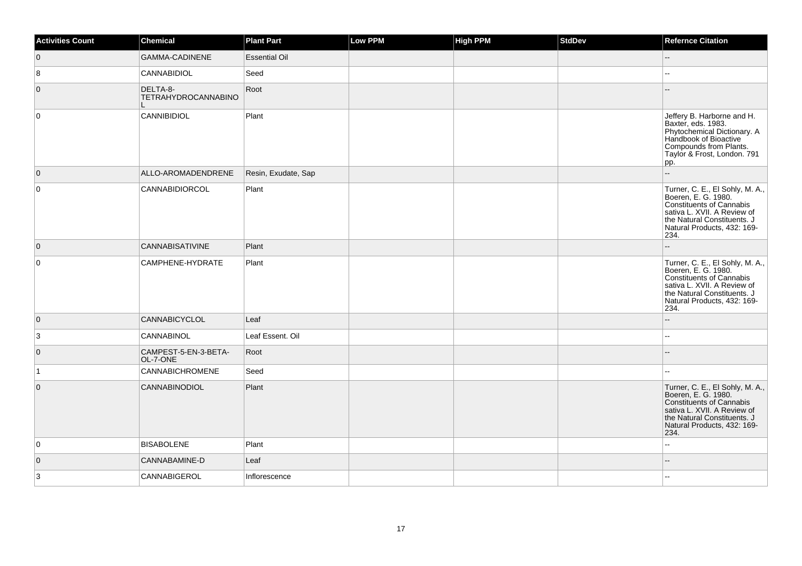| <b>Activities Count</b> | Chemical                               | <b>Plant Part</b>    | Low PPM | <b>High PPM</b> | <b>StdDev</b> | <b>Refernce Citation</b>                                                                                                                                                                |
|-------------------------|----------------------------------------|----------------------|---------|-----------------|---------------|-----------------------------------------------------------------------------------------------------------------------------------------------------------------------------------------|
| $\overline{0}$          | <b>GAMMA-CADINENE</b>                  | <b>Essential Oil</b> |         |                 |               | $\qquad \qquad -$                                                                                                                                                                       |
| 8                       | CANNABIDIOL                            | Seed                 |         |                 |               | ۵.                                                                                                                                                                                      |
| $\overline{0}$          | DELTA-8-<br><b>TETRAHYDROCANNABINO</b> | Root                 |         |                 |               |                                                                                                                                                                                         |
| $\overline{0}$          | <b>CANNIBIDIOL</b>                     | Plant                |         |                 |               | Jeffery B. Harborne and H.<br>Baxter, eds. 1983.<br>Phytochemical Dictionary. A<br>Handbook of Bioactive<br>Compounds from Plants.<br>Taylor & Frost, London. 791<br>pp.                |
| $\overline{0}$          | ALLO-AROMADENDRENE                     | Resin, Exudate, Sap  |         |                 |               | Ξ.                                                                                                                                                                                      |
| $\overline{0}$          | CANNABIDIORCOL                         | Plant                |         |                 |               | Turner, C. E., El Sohly, M. A.,<br>Boeren, E. G. 1980.<br>Constituents of Cannabis<br>sativa L. XVII. A Review of<br>the Natural Constituents. J<br>Natural Products, 432: 169-<br>234. |
| $\overline{0}$          | <b>CANNABISATIVINE</b>                 | Plant                |         |                 |               | ۵.                                                                                                                                                                                      |
| $\overline{0}$          | CAMPHENE-HYDRATE                       | Plant                |         |                 |               | Turner, C. E., El Sohly, M. A.,<br>Boeren, E. G. 1980.<br>Constituents of Cannabis<br>sativa L. XVII. A Review of<br>the Natural Constituents. J<br>Natural Products, 432: 169-<br>234. |
| $\overline{0}$          | <b>CANNABICYCLOL</b>                   | Leaf                 |         |                 |               | $-$                                                                                                                                                                                     |
| 3                       | CANNABINOL                             | Leaf Essent. Oil     |         |                 |               | $\overline{\phantom{a}}$                                                                                                                                                                |
| $\overline{0}$          | CAMPEST-5-EN-3-BETA-<br>OL-7-ONE       | Root                 |         |                 |               |                                                                                                                                                                                         |
| $\vert$ 1               | <b>CANNABICHROMENE</b>                 | Seed                 |         |                 |               |                                                                                                                                                                                         |
| $\overline{0}$          | <b>CANNABINODIOL</b>                   | Plant                |         |                 |               | Turner, C. E., El Sohly, M. A.,<br>Boeren, E. G. 1980.<br>Constituents of Cannabis<br>sativa L. XVII. A Review of<br>the Natural Constituents. J<br>Natural Products, 432: 169-<br>234. |
| $\overline{0}$          | <b>BISABOLENE</b>                      | Plant                |         |                 |               | ۵.                                                                                                                                                                                      |
| $\overline{0}$          | CANNABAMINE-D                          | Leaf                 |         |                 |               | $- -$                                                                                                                                                                                   |
| 3                       | CANNABIGEROL                           | Inflorescence        |         |                 |               | шш.                                                                                                                                                                                     |